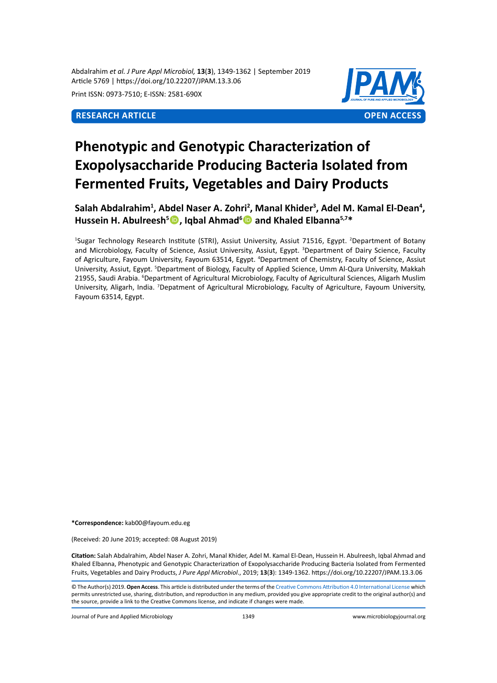Abdalrahim *et al. J Pure Appl Microbiol,* **13**(**3**), 1349-1362 | September 2019 Article 5769 | https://doi.org/10.22207/JPAM.13.3.06

Print ISSN: 0973-7510; E-ISSN: 2581-690X



# **Phenotypic and Genotypic Characterization of Exopolysaccharide Producing Bacteria Isolated from Fermented Fruits, Vegetables and Dairy Products**

Salah Abdalrahim<sup>1</sup>, Abdel Naser A. Zohri<sup>2</sup>, Manal Khider<sup>3</sup>, Adel M. Kamal El-Dean<sup>4</sup>, **Hussein H. Abulreesh<sup>5</sup> , Iqbal Ahmad<sup>6</sup> and Khaled Elbanna5,7\***

<sup>1</sup>Sugar Technology Research Institute (STRI), Assiut University, Assiut 71516, Egypt. <sup>2</sup>Department of Botany and Microbiology, Faculty of Science, Assiut University, Assiut, Egypt. <sup>3</sup>Department of Dairy Science, Faculty of Agriculture, Fayoum University, Fayoum 63514, Egypt. <sup>4</sup> Department of Chemistry, Faculty of Science, Assiut University, Assiut, Egypt. <sup>5</sup>Department of Biology, Faculty of Applied Science, Umm Al-Qura University, Makkah 21955, Saudi Arabia. <sup>6</sup>Department of Agricultural Microbiology, Faculty of Agricultural Sciences, Aligarh Muslim University, Aligarh, India. <sup>7</sup>Depatment of Agricultural Microbiology, Faculty of Agriculture, Fayoum University, Fayoum 63514, Egypt.

**\*Correspondence:** kab00@fayoum.edu.eg

(Received: 20 June 2019; accepted: 08 August 2019)

**Citation:** Salah Abdalrahim, Abdel Naser A. Zohri, Manal Khider, Adel M. Kamal El-Dean, Hussein H. Abulreesh, Iqbal Ahmad and Khaled Elbanna, Phenotypic and Genotypic Characterization of Exopolysaccharide Producing Bacteria Isolated from Fermented Fruits, Vegetables and Dairy Products, *J Pure Appl Microbiol*., 2019; **13**(**3**): 1349-1362. https://doi.org/10.22207/JPAM.13.3.06

© The Author(s) 2019. **Open Access**. This article is distributed under the terms of the [Creative Commons Attribution 4.0 International License](https://creativecommons.org/licenses/by/4.0/) which permits unrestricted use, sharing, distribution, and reproduction in any medium, provided you give appropriate credit to the original author(s) and the source, provide a link to the Creative Commons license, and indicate if changes were made.

Journal of Pure and Applied Microbiology 1349 www.microbiologyjournal.org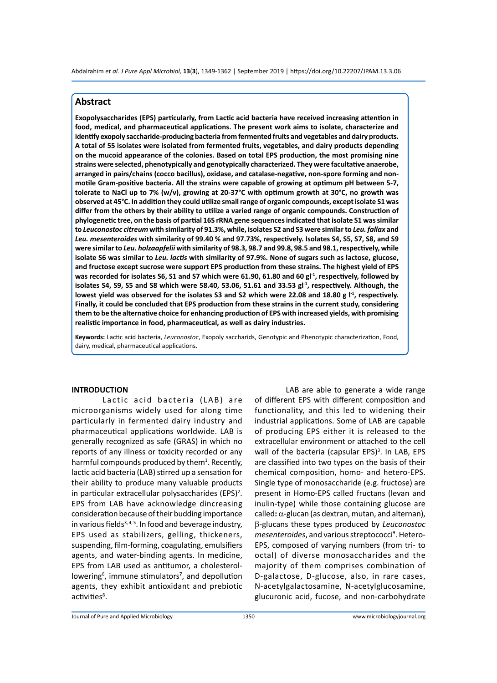# **Abstract**

**Exopolysaccharides (EPS) particularly, from Lactic acid bacteria have received increasing attention in food, medical, and pharmaceutical applications. The present work aims to isolate, characterize and identify exopoly saccharide-producing bacteria from fermented fruits and vegetables and dairy products. A total of 55 isolates were isolated from fermented fruits, vegetables, and dairy products depending on the mucoid appearance of the colonies. Based on total EPS production, the most promising nine strains were selected, phenotypically and genotypically characterized. They were facultative anaerobe, arranged in pairs/chains (cocco bacillus), oxidase, and catalase-negative, non-spore forming and nonmotile Gram-positive bacteria. All the strains were capable of growing at optimum pH between 5-7, tolerate to NaCl up to 7% (w/v), growing at 20-37°C with optimum growth at 30°C, no growth was observed at 45°C. In addition they could utilize small range of organic compounds, except isolate S1 was differ from the others by their ability to utilize a varied range of organic compounds. Construction of phylogenetic tree, on the basis of partial 16S rRNA gene sequences indicated that isolate S1 was similar to** *Leuconostoc citreum* **with similarity of 91.3%, while, isolates S2 and S3 were similar to** *Leu. fallax* **and**  *Leu. mesenteroides* **with similarity of 99.40 % and 97.73%, respectively. Isolates S4, S5, S7, S8, and S9 were similar to** *Leu. holzaapfelii* **with similarity of 98.3, 98.7 and 99.8, 98.5 and 98.1, respectively, while isolate S6 was similar to** *Leu. lactis* **with similarity of 97.9%. None of sugars such as lactose, glucose, and fructose except sucrose were support EPS production from these strains. The highest yield of EPS**  was recorded for isolates S6, S1 and S7 which were 61.90, 61.80 and 60 gl<sup>-1</sup>, respectively, followed by isolates S4, S9, S5 and S8 which were 58.40, 53.06, 51.61 and 33.53 gl<sup>-1</sup>, respectively. Although, the lowest yield was observed for the isolates S3 and S2 which were 22.08 and 18.80 g l<sup>-1</sup>, respectively. **Finally, it could be concluded that EPS production from these strains in the current study, considering them to be the alternative choice for enhancing production of EPS with increased yields, with promising realistic importance in food, pharmaceutical, as well as dairy industries.**

**Keywords:** Lactic acid bacteria, *Leuconostoc*, Exopoly saccharids, Genotypic and Phenotypic characterization, Food, dairy, medical, pharmaceutical applications.

### **INTRODUCTION**

Lactic acid bacteria (LAB) are microorganisms widely used for along time particularly in fermented dairy industry and pharmaceutical applications worldwide. LAB is generally recognized as safe (GRAS) in which no reports of any illness or toxicity recorded or any harmful compounds produced by them<sup>1</sup>. Recently, lactic acid bacteria (LAB) stirred up a sensation for their ability to produce many valuable products in particular extracellular polysaccharides (EPS)<sup>2</sup>. EPS from LAB have acknowledge dincreasing consideration because of their budding importance in various fields $3, 4, 5$ . In food and beverage industry, EPS used as stabilizers, gelling, thickeners, suspending, film-forming, coagulating, emulsifiers agents, and water-binding agents. In medicine, EPS from LAB used as antitumor, a cholesterollowering<sup>6</sup>, immune stimulators<sup>7</sup>, and depollution agents, they exhibit antioxidant and prebiotic activities<sup>8</sup>.

LAB are able to generate a wide range of different EPS with different composition and functionality, and this led to widening their industrial applications. Some of LAB are capable of producing EPS either it is released to the extracellular environment or attached to the cell wall of the bacteria (capsular EPS)<sup>3</sup>. In LAB, EPS are classified into two types on the basis of their chemical composition, homo- and hetero-EPS. Single type of monosaccharide (e.g. fructose) are present in Homo-EPS called fructans (levan and inulin-type) while those containing glucose are called**:**α-glucan (as dextran, mutan, and alternan), β-glucans these types produced by *Leuconostoc*  mesenteroides, and various streptococci<sup>9</sup>. Hetero-EPS, composed of varying numbers (from tri- to octal) of diverse monosaccharides and the majority of them comprises combination of D-galactose, D-glucose, also, in rare cases, N-acetylgalactosamine, N-acetylglucosamine, glucuronic acid, fucose, and non-carbohydrate

Journal of Pure and Applied Microbiology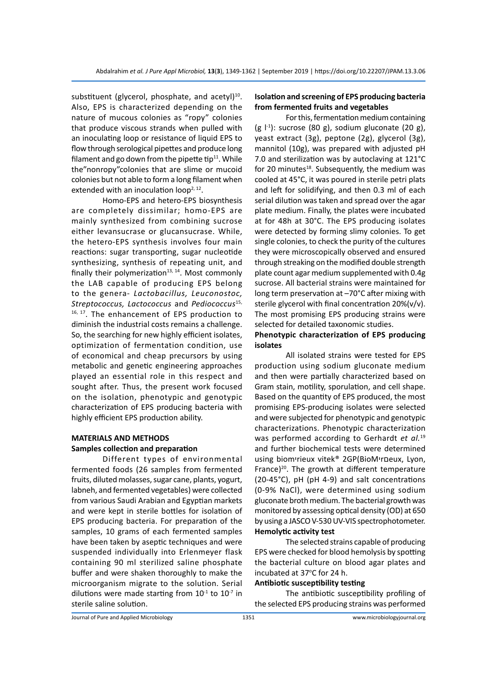substituent (glycerol, phosphate, and acetyl) $^{10}$ . Also, EPS is characterized depending on the nature of mucous colonies as "ropy" colonies that produce viscous strands when pulled with an inoculating loop or resistance of liquid EPS to flow through serological pipettes and produce long filament and go down from the pipette tip $11$ . While the"nonropy"colonies that are slime or mucoid colonies but not able to form a long filament when extended with an inoculation loop<sup>2, 12</sup>.

Homo-EPS and hetero-EPS biosynthesis are completely dissimilar; homo-EPS are mainly synthesized from combining sucrose either levansucrase or glucansucrase. While, the hetero-EPS synthesis involves four main reactions: sugar transporting, sugar nucleotide synthesizing, synthesis of repeating unit, and finally their polymerization $13, 14$ . Most commonly the LAB capable of producing EPS belong to the genera- *Lactobacillus, Leuconostoc, Streptococcus, Lactococcus* and *Pediococcus*15, <sup>16, 17</sup>. The enhancement of EPS production to diminish the industrial costs remains a challenge. So, the searching for new highly efficient isolates, optimization of fermentation condition, use of economical and cheap precursors by using metabolic and genetic engineering approaches played an essential role in this respect and sought after. Thus, the present work focused on the isolation, phenotypic and genotypic characterization of EPS producing bacteria with highly efficient EPS production ability.

# **MATERIALS AND METHODS Samples collection and preparation**

Different types of environmental fermented foods (26 samples from fermented fruits, diluted molasses, sugar cane, plants, yogurt, labneh, and fermented vegetables) were collected from various Saudi Arabian and Egyptian markets and were kept in sterile bottles for isolation of EPS producing bacteria. For preparation of the samples, 10 grams of each fermented samples have been taken by aseptic techniques and were suspended individually into Erlenmeyer flask containing 90 ml sterilized saline phosphate buffer and were shaken thoroughly to make the microorganism migrate to the solution. Serial dilutions were made starting from  $10^{-1}$  to  $10^{-7}$  in sterile saline solution.

# **Isolation and screening of EPS producing bacteria from fermented fruits and vegetables**

For this, fermentation medium containing (g  $\vert$ <sup>-1</sup>): sucrose (80 g), sodium gluconate (20 g), yeast extract (3g), peptone (2g), glycerol (3g), mannitol (10g), was prepared with adjusted pH 7.0 and sterilization was by autoclaving at 121°C for 20 minutes<sup>18</sup>. Subsequently, the medium was cooled at 45°C, it was poured in sterile petri plats and left for solidifying, and then 0.3 ml of each serial dilution was taken and spread over the agar plate medium. Finally, the plates were incubated at for 48h at 30°C. The EPS producing isolates were detected by forming slimy colonies. To get single colonies, to check the purity of the cultures they were microscopically observed and ensured through streaking on the modified double strength plate count agar medium supplemented with 0.4g sucrose. All bacterial strains were maintained for long term preservation at –70°C after mixing with sterile glycerol with final concentration 20%(v/v). The most promising EPS producing strains were selected for detailed taxonomic studies.

# **Phenotypic characterization of EPS producing isolates**

All isolated strains were tested for EPS production using sodium gluconate medium and then were partially characterized based on Gram stain, motility, sporulation, and cell shape. Based on the quantity of EPS produced, the most promising EPS-producing isolates were selected and were subjected for phenotypic and genotypic characterizations. Phenotypic characterization was performed according to Gerhardt *et al.*<sup>19</sup> and further biochemical tests were determined using biomיrieux vitek® 2GP(BioMיrםeux, Lyon, France) $20$ . The growth at different temperature (20-45°C), pH (pH 4-9) and salt concentrations (0-9% NaCl), were determined using sodium gluconate broth medium. The bacterial growth was monitored by assessing optical density (OD) at 650 by using a JASCO V-530 UV-VIS spectrophotometer. **Hemolytic activity test**

The selected strains capable of producing EPS were checked for blood hemolysis by spotting the bacterial culture on blood agar plates and incubated at 37°C for 24 h.

# **Antibiotic susceptibility testing**

The antibiotic susceptibility profiling of the selected EPS producing strains was performed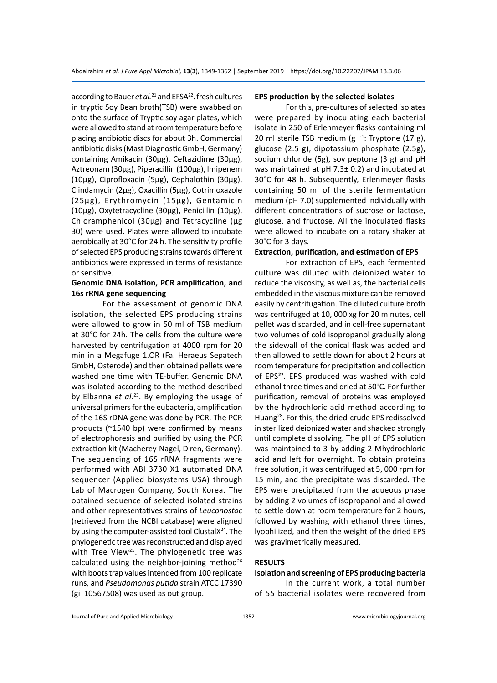according to Bauer *et al.*<sup>21</sup> and EFSA<sup>22</sup>. fresh cultures in tryptic Soy Bean broth(TSB) were swabbed on onto the surface of Tryptic soy agar plates, which were allowed to stand at room temperature before placing antibiotic discs for about 3h. Commercial antibiotic disks (Mast Diagnostic GmbH, Germany) containing Amikacin (30µg), Ceftazidime (30µg), Aztreonam (30µg), Piperacillin (100µg), Imipenem (10µg), Ciprofloxacin (5µg), Cephalothin (30µg), Clindamycin (2µg), Oxacillin (5µg), Cotrimoxazole (25µg), Erythromycin (15µg), Gentamicin (10µg), Oxytetracycline (30µg), Penicillin (10µg), Chloramphenicol (30µg) and Tetracycline (µg 30) were used. Plates were allowed to incubate aerobically at 30°C for 24 h. The sensitivity profile of selected EPS producing strains towards different antibiotics were expressed in terms of resistance or sensitive.

# **Genomic DNA isolation, PCR amplification, and 16s rRNA gene sequencing**

For the assessment of genomic DNA isolation, the selected EPS producing strains were allowed to grow in 50 ml of TSB medium at 30°C for 24h. The cells from the culture were harvested by centrifugation at 4000 rpm for 20 min in a Megafuge 1.OR (Fa. Heraeus Sepatech GmbH, Osterode) and then obtained pellets were washed one time with TE-buffer. Genomic DNA was isolated according to the method described by Elbanna et al.<sup>23</sup>. By employing the usage of universal primers for the eubacteria, amplification of the 16S rDNA gene was done by PCR. The PCR products (~1540 bp) were confirmed by means of electrophoresis and purified by using the PCR extraction kit (Macherey-Nagel, D ren, Germany). The sequencing of 16S rRNA fragments were performed with ABI 3730 X1 automated DNA sequencer (Applied biosystems USA) through Lab of Macrogen Company, South Korea. The obtained sequence of selected isolated strains and other representatives strains of *Leuconostoc* (retrieved from the NCBI database) were aligned by using the computer-assisted tool ClustalX<sup>24</sup>. The phylogenetic tree was reconstructed and displayed with Tree View<sup>25</sup>. The phylogenetic tree was calculated using the neighbor-joining method $26$ with boots trap values intended from 100 replicate runs, and *Pseudomonas putida* strain ATCC 17390 (gi|10567508) was used as out group.

#### **EPS production by the selected isolates**

For this, pre-cultures of selected isolates were prepared by inoculating each bacterial isolate in 250 of Erlenmeyer flasks containing ml 20 ml sterile TSB medium (g  $1<sup>-1</sup>$ : Tryptone (17 g), glucose (2.5 g), dipotassium phosphate (2.5g), sodium chloride (5g), soy peptone (3 g) and pH was maintained at pH 7.3± 0.2) and incubated at 30°C for 48 h. Subsequently, Erlenmeyer flasks containing 50 ml of the sterile fermentation medium (pH 7.0) supplemented individually with different concentrations of sucrose or lactose, glucose, and fructose. All the inoculated flasks were allowed to incubate on a rotary shaker at 30°C for 3 days.

# **Extraction, purification, and estimation of EPS**

For extraction of EPS, each fermented culture was diluted with deionized water to reduce the viscosity, as well as, the bacterial cells embedded in the viscous mixture can be removed easily by centrifugation. The diluted culture broth was centrifuged at 10, 000 xg for 20 minutes, cell pellet was discarded, and in cell-free supernatant two volumes of cold isopropanol gradually along the sidewall of the conical flask was added and then allowed to settle down for about 2 hours at room temperature for precipitation and collection of EPS**<sup>27</sup>**. EPS produced was washed with cold ethanol three times and dried at 50°C. For further purification, removal of proteins was employed by the hydrochloric acid method according to Huang28. For this, the dried-crude EPS redissolved in sterilized deionized water and shacked strongly until complete dissolving. The pH of EPS solution was maintained to 3 by adding 2 Mhydrochloric acid and left for overnight. To obtain proteins free solution, it was centrifuged at 5, 000 rpm for 15 min, and the precipitate was discarded. The EPS were precipitated from the aqueous phase by adding 2 volumes of isopropanol and allowed to settle down at room temperature for 2 hours, followed by washing with ethanol three times, lyophilized, and then the weight of the dried EPS was gravimetrically measured.

# **RESULTS**

# **Isolation and screening of EPS producing bacteria**

In the current work, a total number of 55 bacterial isolates were recovered from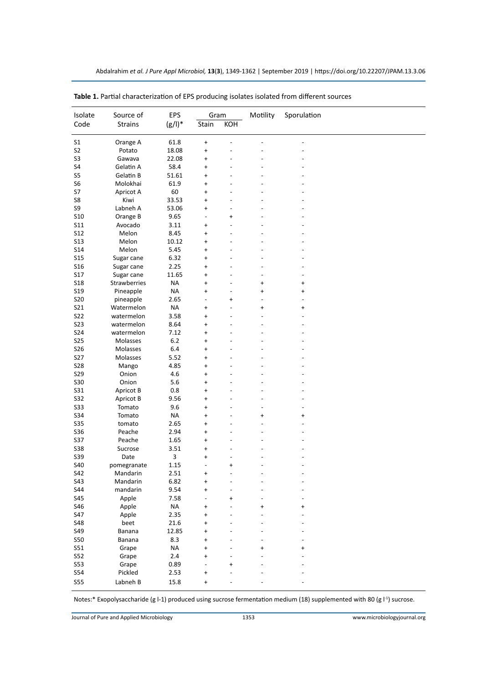| Isolate    | Source of           | EPS       | Gram            |                | Motility  | Sporulation |
|------------|---------------------|-----------|-----------------|----------------|-----------|-------------|
| Code       | <b>Strains</b>      | $(g/1)^*$ | Stain<br>KOH    |                |           |             |
|            |                     |           |                 |                |           |             |
| S1         | Orange A            | 61.8      | $\ddot{}$       |                |           |             |
| S2         | Potato              | 18.08     | $\ddot{}$       |                |           |             |
| S3         | Gawava              | 22.08     | $\ddot{}$       |                |           |             |
| S4         | Gelatin A           | 58.4      | $\ddot{}$       |                |           |             |
| S5         | Gelatin B           | 51.61     | $\ddot{}$       |                |           |             |
| S6         | Molokhai            | 61.9      | $\ddot{}$       |                |           |             |
| S7         | Apricot A           | 60        | $\ddot{}$       |                |           |             |
| S8         | Kiwi                | 33.53     | $\ddot{}$       |                |           |             |
|            |                     |           |                 |                |           |             |
| S9         | Labneh A            | 53.06     | $\ddot{}$       | -              |           |             |
| S10        | Orange B            | 9.65      | L,              | $\ddot{}$      |           |             |
| S11        | Avocado             | 3.11      | +               | L,             |           |             |
| S12        | Melon               | 8.45      | $\ddot{}$       |                |           |             |
| S13        | Melon               | 10.12     | $\ddot{}$       | L,             |           |             |
| S14        | Melon               | 5.45      | $\ddot{}$       |                |           |             |
| S15        | Sugar cane          | 6.32      | $\ddot{}$       |                |           |             |
| S16        | Sugar cane          | 2.25      | +               |                |           |             |
| S17        | Sugar cane          | 11.65     | $\ddot{}$       |                |           |             |
| S18        | <b>Strawberries</b> | <b>NA</b> | $\ddot{}$       | L,             | $\ddot{}$ | $\ddot{}$   |
| S19        | Pineapple           | <b>NA</b> | $\ddot{}$       | -              | $\ddot{}$ | $\ddot{}$   |
| <b>S20</b> | pineapple           | 2.65      | L,              | $\ddot{}$      |           |             |
| S21        | Watermelon          | <b>NA</b> | +               | L,             | $\ddot{}$ | +           |
| S22        | watermelon          | 3.58      | $\ddot{}$       |                |           |             |
| S23        | watermelon          | 8.64      | $\ddot{}$       | L,             |           |             |
| S24        | watermelon          | 7.12      | $\ddot{}$       |                |           |             |
| S25        | Molasses            | $6.2$     | $\ddot{}$       |                |           |             |
| S26        | Molasses            | 6.4       | $\ddot{}$       |                |           |             |
| S27        | Molasses            | 5.52      | $\ddot{}$       |                |           |             |
| S28        | Mango               | 4.85      | $\ddot{}$       |                |           |             |
| S29        | Onion               | 4.6       | $\ddot{}$       |                |           |             |
| S30        | Onion               | 5.6       | $\ddot{}$       |                |           |             |
| S31        | Apricot B           | 0.8       | $\ddot{}$       |                |           |             |
| S32        | Apricot B           | 9.56      | $\ddot{}$       |                |           |             |
| S33        | Tomato              | 9.6       | $\ddot{}$       |                |           |             |
| S34        | Tomato              | <b>NA</b> | $\ddot{}$       |                | $\ddot{}$ | $\ddot{}$   |
| S35        | tomato              | 2.65      | $\ddot{}$       |                |           |             |
| S36        | Peache              | 2.94      | +               | L,             |           |             |
| S37        | Peache              | 1.65      | $\ddot{}$       |                |           |             |
| S38        | Sucrose             | 3.51      | $\ddot{}$       | L,             |           |             |
| S39        | Date                | 3         |                 |                |           |             |
|            | pomegranate         | 1.15      | $\ddot{}$<br>L. | -<br>$\ddot{}$ |           |             |
| S40        |                     |           |                 |                |           |             |
| S42        | Mandarin            | 2.51      | +               |                |           |             |
| S43        | Mandarin            | 6.82      | $\ddot{}$       |                |           |             |
| S44        | mandarin            | 9.54      |                 |                |           |             |
| S45        | Apple               | 7.58      |                 | $\ddot{}$      | -         |             |
| S46        | Apple               | $\sf NA$  | $\ddot{}$       |                | +         | $\ddot{}$   |
| S47        | Apple               | 2.35      | $\ddot{}$       |                |           |             |
| S48        | beet                | 21.6      | +               |                |           |             |
| S49        | Banana              | 12.85     | $\ddot{}$       |                |           |             |
| <b>S50</b> | Banana              | 8.3       | +               |                |           |             |
| S51        | Grape               | <b>NA</b> | +               |                |           | +           |
| S52        | Grape               | $2.4$     | $\ddot{}$       |                |           |             |
| S53        | Grape               | 0.89      |                 | $\ddot{}$      |           |             |
| S54        | Pickled             | 2.53      | $\ddot{}$       |                |           |             |
| <b>S55</b> | Labneh B            | 15.8      | $\ddot{}$       |                |           |             |

**Table 1.** Partial characterization of EPS producing isolates isolated from different sources

Notes:\* Exopolysaccharide (g l-1) produced using sucrose fermentation medium (18) supplemented with 80 (g l<sup>-1</sup>) sucrose.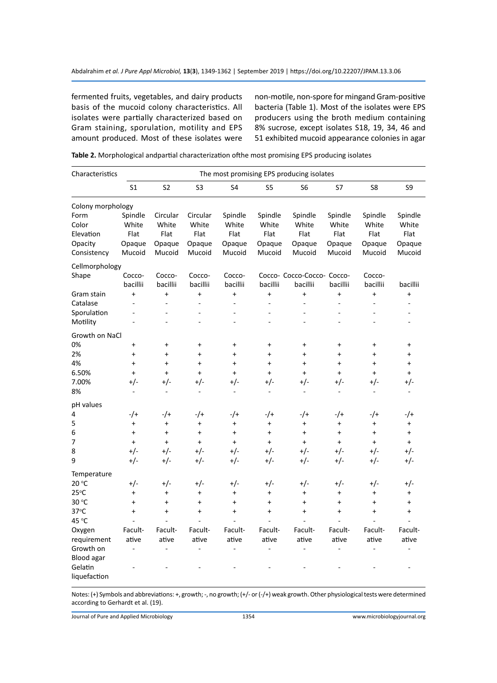fermented fruits, vegetables, and dairy products basis of the mucoid colony characteristics. All isolates were partially characterized based on Gram staining, sporulation, motility and EPS amount produced. Most of these isolates were

non-motile, non-spore for mingand Gram-positive bacteria (Table 1). Most of the isolates were EPS producers using the broth medium containing 8% sucrose, except isolates S18, 19, 34, 46 and 51 exhibited mucoid appearance colonies in agar

| Characteristics   |                | The most promising EPS producing isolates |                |                |                |                            |           |           |           |  |  |  |  |
|-------------------|----------------|-------------------------------------------|----------------|----------------|----------------|----------------------------|-----------|-----------|-----------|--|--|--|--|
|                   |                |                                           |                |                |                |                            |           |           |           |  |  |  |  |
|                   | S <sub>1</sub> | S <sub>2</sub>                            | S <sub>3</sub> | S <sub>4</sub> | S <sub>5</sub> | S <sub>6</sub>             | S7        | S8        | S9        |  |  |  |  |
| Colony morphology |                |                                           |                |                |                |                            |           |           |           |  |  |  |  |
| Form              | Spindle        | Circular                                  | Circular       | Spindle        | Spindle        | Spindle                    | Spindle   | Spindle   | Spindle   |  |  |  |  |
| Color             | White          | White                                     | White          | White          | White          | White                      | White     | White     | White     |  |  |  |  |
| Elevation         | Flat           | Flat                                      | Flat           | Flat           | Flat           | Flat                       | Flat      | Flat      | Flat      |  |  |  |  |
| Opacity           | Opaque         | Opaque                                    | Opaque         | Opaque         | Opaque         | Opaque                     | Opaque    | Opaque    | Opaque    |  |  |  |  |
| Consistency       | Mucoid         | Mucoid                                    | Mucoid         | Mucoid         | Mucoid         | Mucoid                     | Mucoid    | Mucoid    | Mucoid    |  |  |  |  |
| Cellmorphology    |                |                                           |                |                |                |                            |           |           |           |  |  |  |  |
| Shape             | Cocco-         | Cocco-                                    | Cocco-         | Cocco-         |                | Cocco- Cocco-Cocco- Cocco- |           | Cocco-    |           |  |  |  |  |
|                   | bacillii       | bacillii                                  | bacillii       | bacillii       | bacillii       | bacillii                   | bacillii  | bacillii  | bacillii  |  |  |  |  |
| Gram stain        | $\ddot{}$      | $\ddot{}$                                 | $\ddot{}$      | $\ddot{}$      | $\ddot{}$      | $\ddot{}$                  | $\ddot{}$ | $\ddot{}$ | $\ddot{}$ |  |  |  |  |
| Catalase          | ÷,             | ÷                                         | ÷,             | ÷,             | L,             | ÷.                         | ÷,        |           | ٠         |  |  |  |  |
| Sporulation       |                |                                           |                |                |                |                            |           |           |           |  |  |  |  |
| Motility          |                |                                           | ÷,             |                |                |                            |           |           |           |  |  |  |  |
| Growth on NaCl    |                |                                           |                |                |                |                            |           |           |           |  |  |  |  |
| 0%                | $\ddot{}$      | $\ddot{}$                                 | $\ddot{}$      | $\ddot{}$      | $\ddot{}$      | $\ddot{}$                  | $\ddot{}$ | $\ddot{}$ | $\ddot{}$ |  |  |  |  |
| 2%                | $\ddot{}$      | $\ddot{}$                                 | $\ddot{}$      | $\ddot{}$      | $\ddot{}$      | $\ddot{}$                  | $\ddot{}$ | $\ddot{}$ | $\ddot{}$ |  |  |  |  |
| 4%                | $\ddot{}$      | $\ddot{}$                                 | $\ddot{}$      | $\ddot{}$      | $\ddot{}$      | $+$                        | $\ddot{}$ | $\ddot{}$ | $\ddot{}$ |  |  |  |  |
| 6.50%             | $+$            | $\ddot{}$                                 | $\ddot{}$      | $\ddot{}$      | $\ddot{}$      | $+$                        | $\ddot{}$ | $\ddot{}$ | $\ddot{}$ |  |  |  |  |
| 7.00%             | $+/-$          | +/-                                       | +/-            | $+/-$          | $+/-$          | +/-                        | $+/-$     | $+/-$     | $+/-$     |  |  |  |  |
| 8%                | ٠              | $\overline{a}$                            | ٠              | ۰              | $\sim$         | ÷.                         | ۰         | $\sim$    | $\sim$    |  |  |  |  |
| pH values         |                |                                           |                |                |                |                            |           |           |           |  |  |  |  |
| 4                 | $-$ /+         | -/+                                       | -/+            | $-$ /+         | $-$ /+         | -/+                        | $-$ /+    | $-$ /+    | -/+       |  |  |  |  |
| 5                 | $\ddot{}$      | $\ddot{}$                                 | $\ddot{}$      | $\ddot{}$      | $\ddot{}$      | $\ddot{}$                  | $\ddot{}$ | $\ddot{}$ | $\ddot{}$ |  |  |  |  |
| 6                 | $\ddot{}$      | $\ddot{}$                                 | $\ddot{}$      | +              | $\ddot{}$      | $\ddot{}$                  | $\ddot{}$ | $\ddot{}$ | $\ddot{}$ |  |  |  |  |
| 7                 | $\ddot{}$      | $+$                                       | $+$            | $\ddot{}$      | $\ddot{}$      | $+$                        | $\ddot{}$ | $\ddot{}$ | $+$       |  |  |  |  |
| 8                 | $+/-$          | $+/-$                                     | $+/-$          | $+/-$          | $+/-$          | $+/-$                      | $+/-$     | $+/-$     | $+/-$     |  |  |  |  |
| 9                 | $+/-$          | $+/-$                                     | $+/-$          | $+/-$          | $+/-$          | $+/-$                      | $+/-$     | $+/-$     | $+/-$     |  |  |  |  |
| Temperature       |                |                                           |                |                |                |                            |           |           |           |  |  |  |  |
| 20 °C             | $+/-$          | +/-                                       | +/-            | $+/-$          | $+/-$          | +/-                        | $+/-$     | $+/-$     | $+/-$     |  |  |  |  |
| $25^{\circ}$ C    | $\ddot{}$      | $\ddot{}$                                 | $\ddot{}$      | $\ddot{}$      | $\ddot{}$      | $\ddot{}$                  | $\ddot{}$ | $\ddot{}$ | $\ddot{}$ |  |  |  |  |
| 30 °C             | $\ddot{}$      | $\ddot{}$                                 | $\ddot{}$      | $\ddot{}$      | $\ddot{}$      | $\ddot{}$                  | $\ddot{}$ | $\ddot{}$ | $\ddot{}$ |  |  |  |  |
| $37^{\circ}$ C    | $\ddot{}$      | $\ddot{}$                                 | $\ddot{}$      | $\ddot{}$      | $\ddot{}$      | $\ddot{}$                  | $\ddot{}$ | $\ddot{}$ | $\ddot{}$ |  |  |  |  |
| 45 °C             |                |                                           |                |                |                |                            |           |           |           |  |  |  |  |
| Oxygen            | Facult-        | Facult-                                   | Facult-        | Facult-        | Facult-        | Facult-                    | Facult-   | Facult-   | Facult-   |  |  |  |  |
| requirement       | ative          | ative                                     | ative          | ative          | ative          | ative                      | ative     | ative     | ative     |  |  |  |  |
| Growth on         |                |                                           |                |                |                |                            |           |           |           |  |  |  |  |
| Blood agar        |                |                                           |                |                |                |                            |           |           |           |  |  |  |  |
| Gelatin           |                |                                           |                |                |                |                            |           |           |           |  |  |  |  |
| liquefaction      |                |                                           |                |                |                |                            |           |           |           |  |  |  |  |

**Table 2.** Morphological andpartial characterization ofthe most promising EPS producing isolates

Notes: (+) Symbols and abbreviations: +, growth; -, no growth; (+/- or (-/+) weak growth. Other physiological tests were determined according to Gerhardt et al. (19).

Journal of Pure and Applied Microbiology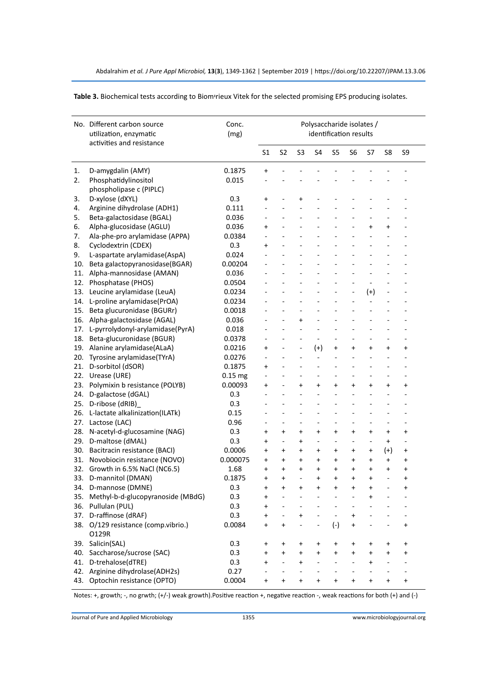|     | No. Different carbon source<br>utilization, enzymatic<br>activities and resistance | Conc.<br>(mg) | Polysaccharide isolates /<br>identification results |                |           |           |           |           |                          |           |           |  |  |
|-----|------------------------------------------------------------------------------------|---------------|-----------------------------------------------------|----------------|-----------|-----------|-----------|-----------|--------------------------|-----------|-----------|--|--|
|     |                                                                                    |               | S1                                                  | S <sub>2</sub> | S3        | S4        | S5        | S6        | S7                       | S8        | S9        |  |  |
| 1.  | D-amygdalin (AMY)                                                                  | 0.1875        | +                                                   |                |           |           |           |           |                          |           |           |  |  |
| 2.  | Phosphatidylinositol                                                               | 0.015         |                                                     |                |           |           |           |           |                          |           |           |  |  |
|     | phospholipase c (PIPLC)                                                            |               |                                                     |                |           |           |           |           |                          |           |           |  |  |
| 3.  | D-xylose (dXYL)                                                                    | 0.3           | $\ddot{}$                                           |                | $\pmb{+}$ |           |           |           |                          |           |           |  |  |
| 4.  | Arginine dihydrolase (ADH1)                                                        | 0.111         |                                                     |                |           |           |           |           |                          |           |           |  |  |
| 5.  | Beta-galactosidase (BGAL)                                                          | 0.036         |                                                     |                |           |           |           |           |                          |           |           |  |  |
| 6.  | Alpha-glucosidase (AGLU)                                                           | 0.036         | $\ddot{}$                                           |                |           |           |           |           | $\ddot{}$                | $\ddot{}$ |           |  |  |
| 7.  | Ala-phe-pro arylamidase (APPA)                                                     | 0.0384        |                                                     |                |           |           |           |           |                          |           |           |  |  |
| 8.  | Cyclodextrin (CDEX)                                                                | 0.3           | $\ddot{}$                                           |                |           |           |           |           | ä,                       |           |           |  |  |
| 9.  | L-aspartate arylamidase(AspA)                                                      | 0.024         |                                                     |                |           |           |           |           |                          |           |           |  |  |
| 10. | Beta galactopyranosidase(BGAR)                                                     | 0.00204       |                                                     |                |           |           |           |           |                          |           |           |  |  |
| 11. | Alpha-mannosidase (AMAN)                                                           | 0.036         |                                                     |                |           |           |           |           |                          |           |           |  |  |
| 12. | Phosphatase (PHOS)                                                                 | 0.0504        |                                                     |                |           |           |           |           |                          |           |           |  |  |
| 13. | Leucine arylamidase (LeuA)                                                         | 0.0234        |                                                     |                |           |           |           |           | $(+)$                    |           |           |  |  |
| 14. | L-proline arylamidase(PrOA)                                                        | 0.0234        |                                                     |                |           |           |           |           | $\overline{\phantom{a}}$ |           |           |  |  |
| 15. | Beta glucuronidase (BGURr)                                                         | 0.0018        |                                                     |                |           |           |           |           |                          |           |           |  |  |
| 16. | Alpha-galactosidase (AGAL)                                                         | 0.036         |                                                     |                | $\ddot{}$ |           |           |           |                          |           |           |  |  |
| 17. | L-pyrrolydonyl-arylamidase(PyrA)                                                   | 0.018         |                                                     |                |           |           |           |           |                          |           |           |  |  |
| 18. | Beta-glucuronidase (BGUR)                                                          | 0.0378        |                                                     |                |           | Ē,        |           |           |                          |           |           |  |  |
|     | 19. Alanine arylamidase(ALaA)                                                      | 0.0216        | $\ddot{}$                                           |                | ä,        | $^{(+)}$  | $\ddot{}$ | $\ddot{}$ | $\ddot{}$                | $\ddot{}$ | $\ddot{}$ |  |  |
| 20. | Tyrosine arylamidase(TYrA)                                                         | 0.0276        |                                                     |                | ä,        | ÷,        |           | ÷,        | ä,                       |           |           |  |  |
| 21. | D-sorbitol (dSOR)                                                                  | 0.1875        | $\ddot{}$                                           |                |           |           |           |           |                          |           |           |  |  |
|     | 22. Urease (URE)                                                                   | $0.15$ mg     |                                                     |                |           |           |           |           |                          |           |           |  |  |
| 23. | Polymixin b resistance (POLYB)                                                     | 0.00093       | $\ddot{}$                                           |                | $\ddot{}$ | $\ddot{}$ | $\ddot{}$ | $\ddot{}$ | $\ddot{}$                | $\ddot{}$ | +         |  |  |
| 24. | D-galactose (dGAL)                                                                 | 0.3           |                                                     |                |           | ÷,        |           |           |                          |           |           |  |  |
| 25. | D-ribose (dRIB)                                                                    | 0.3           |                                                     |                |           | ä,        |           |           |                          |           |           |  |  |
| 26. | L-lactate alkalinization(ILATk)                                                    | 0.15          |                                                     |                |           |           |           |           |                          |           |           |  |  |
| 27. | Lactose (LAC)                                                                      | 0.96          |                                                     |                |           | ÷.        | ۰         |           |                          |           |           |  |  |
| 28. | N-acetyl-d-glucosamine (NAG)                                                       | 0.3           | $\ddot{}$                                           | $\ddot{}$      | $\ddot{}$ | $\ddot{}$ | $\ddot{}$ | $\ddot{}$ | $\ddot{}$                | $\ddot{}$ | $\ddot{}$ |  |  |
| 29. | D-maltose (dMAL)                                                                   | 0.3           | $\ddot{}$                                           | ÷,             | $\ddot{}$ | ä,        | ÷,        | ÷,        | ÷,                       | $\ddot{}$ | ä,        |  |  |
| 30. | Bacitracin resistance (BACI)                                                       | 0.0006        | $\ddot{}$                                           | +              | +         | +         | $\ddot{}$ | +         | +                        | $^{(+)}$  | +         |  |  |
| 31. | Novobiocin resistance (NOVO)                                                       | 0.000075      | $\ddot{}$                                           | $\ddot{}$      | $\ddot{}$ | $\ddot{}$ | $\ddot{}$ | $\ddot{}$ | $\ddot{}$                | $\ddot{}$ | $\ddot{}$ |  |  |
|     | 32. Growth in 6.5% NaCl (NC6.5)                                                    | 1.68          | $\ddot{}$                                           | $\ddot{}$      | $\ddot{}$ | $\ddot{}$ | $\ddot{}$ | $\ddot{}$ | $\ddot{}$                | $\ddot{}$ | $\ddot{}$ |  |  |
|     | 33. D-mannitol (DMAN)                                                              | 0.1875        | $\ddot{}$                                           | $\ddot{}$      | ÷,        | $\ddot{}$ | $\ddot{}$ | $\ddot{}$ | $\ddot{}$                |           | $\ddot{}$ |  |  |
|     | 34. D-mannose (DMNE)                                                               | 0.3           | $\ddot{}$                                           | $\ddot{}$      | $\ddot{}$ | $\ddot{}$ | $\ddot{}$ | $\ddot{}$ | $\ddot{}$                |           | $\ddot{}$ |  |  |
|     | 35. Methyl-b-d-glucopyranoside (MBdG)                                              | 0.3           | +                                                   |                |           |           |           |           | +                        |           |           |  |  |
|     | 36. Pullulan (PUL)                                                                 | 0.3           | +                                                   |                |           |           |           |           |                          |           |           |  |  |
|     | 37. D-raffinose (dRAF)                                                             | 0.3           | $\ddot{}$                                           |                | +         |           |           | $\ddot{}$ |                          |           |           |  |  |
|     | 38. O/129 resistance (comp.vibrio.)<br>O129R                                       | 0.0084        | $\ddot{}$                                           | $\ddot{}$      |           |           | $(-)$     | $\ddot{}$ |                          |           | $\ddot{}$ |  |  |
|     | 39. Salicin(SAL)                                                                   | 0.3           | +                                                   | +              | +         | +         | +         | +         | +                        | +         | +         |  |  |
| 40. | Saccharose/sucrose (SAC)                                                           | 0.3           | $\ddot{}$                                           | $\ddot{}$      | $\ddot{}$ | $\ddot{}$ | $\ddot{}$ | +         | $\ddot{}$                | $\ddot{}$ | +         |  |  |
|     | 41. D-trehalose(dTRE)                                                              | 0.3           | $\ddot{}$                                           | ÷,             | $\ddot{}$ | ÷         |           |           | $\ddot{}$                |           | ٠         |  |  |
|     | 42. Arginine dihydrolase(ADH2s)                                                    | 0.27          |                                                     |                |           |           |           |           |                          |           |           |  |  |
|     | 43. Optochin resistance (OPTO)                                                     | 0.0004        | $\ddot{}$                                           | +              | +         | $\ddot{}$ | $\ddot{}$ | $\ddot{}$ | $\ddot{}$                | +         | +         |  |  |

**Table 3.** Biochemical tests according to Biomיrieux Vitek for the selected promising EPS producing isolates.

Notes: +, growth; -, no grwth; (+/-) weak growth).Positive reaction +, negative reaction -, weak reactions for both (+) and (-)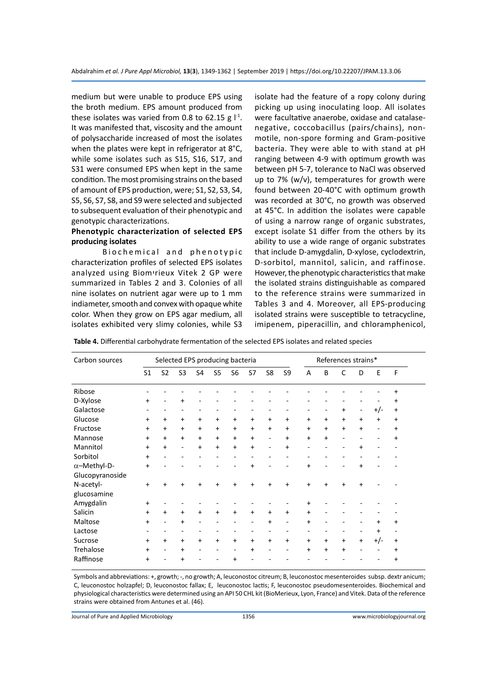medium but were unable to produce EPS using the broth medium. EPS amount produced from these isolates was varied from 0.8 to 62.15 g  $I^{-1}$ . It was manifested that, viscosity and the amount of polysaccharide increased of most the isolates when the plates were kept in refrigerator at 8°C, while some isolates such as S15, S16, S17, and S31 were consumed EPS when kept in the same condition. The most promising strains on the based of amount of EPS production, were; S1, S2, S3, S4, S5, S6, S7, S8, and S9 were selected and subjected to subsequent evaluation of their phenotypic and genotypic characterizations.

# **Phenotypic characterization of selected EPS producing isolates**

Biochemical and phenotypic characterization profiles of selected EPS isolates analyzed using Biomיrieux Vitek 2 GP were summarized in Tables 2 and 3. Colonies of all nine isolates on nutrient agar were up to 1 mm indiameter, smooth and convex with opaque white color. When they grow on EPS agar medium, all isolates exhibited very slimy colonies, while S3

isolate had the feature of a ropy colony during picking up using inoculating loop. All isolates were facultative anaerobe, oxidase and catalasenegative, coccobacillus (pairs/chains), nonmotile, non-spore forming and Gram-positive bacteria. They were able to with stand at pH ranging between 4-9 with optimum growth was between pH 5-7, tolerance to NaCl was observed up to 7% (w/v), temperatures for growth were found between 20-40°C with optimum growth was recorded at 30°C, no growth was observed at 45°C. In addition the isolates were capable of using a narrow range of organic substrates, except isolate S1 differ from the others by its ability to use a wide range of organic substrates that include D-amygdalin, D-xylose, cyclodextrin, D-sorbitol, mannitol, salicin, and raffinose. However, the phenotypic characteristics that make the isolated strains distinguishable as compared to the reference strains were summarized in Tables 3 and 4. Moreover, all EPS-producing isolated strains were susceptible to tetracycline, imipenem, piperacillin, and chloramphenicol,

**Table 4.** Differential carbohydrate fermentation of the selected EPS isolates and related species

| Carbon sources      | Selected EPS producing bacteria |                |                |           |                |                |           |                          |           |           | References strains* |           |                          |           |           |  |
|---------------------|---------------------------------|----------------|----------------|-----------|----------------|----------------|-----------|--------------------------|-----------|-----------|---------------------|-----------|--------------------------|-----------|-----------|--|
|                     | S <sub>1</sub>                  | S <sub>2</sub> | S <sub>3</sub> | S4        | S <sub>5</sub> | S <sub>6</sub> | S7        | S8                       | S9        | A         | B                   | C         | D                        | E         | F         |  |
| Ribose              |                                 |                |                |           |                |                |           |                          |           |           |                     |           |                          |           | $\ddot{}$ |  |
| D-Xylose            | $\ddot{}$                       |                | +              |           |                |                |           |                          |           |           |                     |           |                          |           | +         |  |
| Galactose           |                                 |                |                |           |                |                |           |                          |           |           |                     | $\ddot{}$ | $\overline{\phantom{a}}$ | $+/-$     | $\ddot{}$ |  |
| Glucose             | $\ddot{}$                       | $\ddot{}$      | $\ddot{}$      | $\ddot{}$ | $\ddot{}$      | +              | $\ddot{}$ | $\ddot{}$                | +         | $\ddot{}$ | $\ddot{}$           | $\ddot{}$ | $+$                      | $\ddot{}$ | $\ddot{}$ |  |
| Fructose            | $\ddot{}$                       | $+$            | $+$            | $\ddot{}$ | $\ddot{}$      | $\ddot{}$      | $\ddot{}$ | $\ddot{}$                | $\ddot{}$ | $\ddot{}$ | $\ddot{}$           | $\ddot{}$ | $\ddot{}$                |           | $\ddot{}$ |  |
| Mannose             | $+$                             | $+$            | $+$            | $\ddot{}$ | $\ddot{}$      | +              | $\ddot{}$ | $\overline{\phantom{0}}$ | $\ddot{}$ | +         | $\ddot{}$           |           |                          |           | $\ddot{}$ |  |
| Mannitol            | $+$                             | $\ddot{}$      | ۰              | $\ddot{}$ | $\ddot{}$      | $\ddot{}$      | $\ddot{}$ |                          | +         |           |                     |           | +                        |           |           |  |
| Sorbitol            | $\ddot{}$                       |                |                |           |                |                |           |                          |           |           |                     |           |                          |           |           |  |
| $\alpha$ -Methyl-D- | $+$                             |                |                |           |                |                | $\ddot{}$ |                          |           | $\ddot{}$ |                     |           | +                        |           |           |  |
| Glucopyranoside     |                                 |                |                |           |                |                |           |                          |           |           |                     |           |                          |           |           |  |
| N-acetyl-           | $+$                             | $\ddot{}$      | +              | +         | $\ddot{}$      | +              | +         | $\ddot{}$                | $\ddot{}$ | +         | $\ddot{}$           | $\ddot{}$ | +                        |           |           |  |
| glucosamine         |                                 |                |                |           |                |                |           |                          |           |           |                     |           |                          |           |           |  |
| Amygdalin           | $+$                             |                |                |           |                |                |           |                          |           | +         |                     |           |                          |           |           |  |
| Salicin             | $\ddot{}$                       | $\ddot{}$      | $+$            | $\ddot{}$ | $\ddot{}$      | $\ddot{}$      | $\ddot{}$ | +                        | +         | +         |                     |           |                          |           |           |  |
| Maltose             | $+$                             |                | $\ddot{}$      |           |                |                |           | +                        |           | +         |                     |           |                          | +         | $\ddot{}$ |  |
| Lactose             |                                 |                |                |           |                |                |           |                          |           |           |                     |           |                          | $\ddot{}$ |           |  |
| Sucrose             | $+$                             | +              | $+$            | $\ddot{}$ | $+$            | $\ddot{}$      | $\ddot{}$ | $\ddot{}$                | $\ddot{}$ | +         | $\ddot{}$           | $\ddot{}$ | $+$                      | $+/-$     | $\ddot{}$ |  |
| Trehalose           | $+$                             |                | $\ddot{}$      |           |                |                | +         |                          |           | +         | +                   | $\ddot{}$ |                          |           | $\ddot{}$ |  |
| Raffinose           | +                               |                | +              |           |                | +              |           |                          |           |           |                     |           |                          |           | +         |  |

Symbols and abbreviations: +, growth; -, no growth; A, leuconostoc citreum; B, leuconostoc mesenteroides subsp. dextr anicum; C, leuconostoc holzapfel; D, leuconostoc fallax; E, leuconostoc lactis; F, leuconostoc pseudomesenteroides. Biochemical and physiological characteristics were determined using an API 50 CHL kit (BioMerieux, Lyon, France) and Vitek. Data of the reference strains were obtained from Antunes et al. (46).

Journal of Pure and Applied Microbiology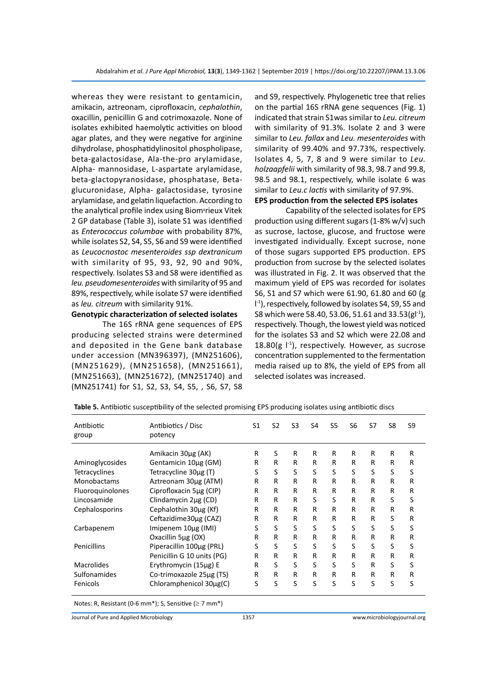whereas they were resistant to gentamicin, amikacin, aztreonam, ciprofloxacin, *cephalothin*, oxacillin, penicillin G and cotrimoxazole. None of isolates exhibited haemolytic activities on blood agar plates, and they were negative for arginine dihydrolase, phosphatidylinositol phospholipase, beta-galactosidase, Ala-the-pro arylamidase, Alpha- mannosidase, L-aspartate arylamidase, beta-glactopyranosidase, phosphatase, Betaglucuronidase, Alpha- galactosidase, tyrosine arylamidase, and gelatin liquefaction. According to the analytical profile index using Biomיrieux Vitek 2 GP database (Table 3), isolate S1 was identified as *Enterococcus columbae* with probability 87%, while isolates S2, S4, S5, S6 and S9 were identified as *Leucocnostoc mesenteroides ssp dextranicum* with similarity of 95, 93, 92, 90 and 90%, respectively. Isolates S3 and S8 were identified as *leu. pseudomesenteroides* with similarity of 95 and 89%, respectively, while isolate S7 were identified as *leu. citreum* with similarity 91%.

# **Genotypic characterization of selected isolates**

The 16S rRNA gene sequences of EPS producing selected strains were determined and deposited in the Gene bank database under accession (MN396397), (MN251606), (MN251629), (MN251658), (MN251661), (MN251663), (MN251672), (MN251740) and (MN251741) for S1, S2, S3, S4, S5, , S6, S7, S8 and S9, respectively. Phylogenetic tree that relies on the partial 16S rRNA gene sequences (Fig. 1) indicated that strain S1was similar to *Leu. citreum*  with similarity of 91.3%. Isolate 2 and 3 were similar to *Leu. fallax* and *Leu. mesenteroides* with similarity of 99.40% and 97.73%, respectively. Isolates 4, 5, 7, 8 and 9 were similar to *Leu. holzaapfelii* with similarity of 98.3, 98.7 and 99.8, 98.5 and 98.1, respectively, while isolate 6 was similar to *Leu.c lactis* with similarity of 97.9%. **EPS production from the selected EPS isolates**

Capability of the selected isolates for EPS production using different sugars (1-8% w/v) such as sucrose, lactose, glucose, and fructose were investigated individually. Except sucrose, none of those sugars supported EPS production. EPS production from sucrose by the selected isolates was illustrated in Fig. 2. It was observed that the maximum yield of EPS was recorded for isolates S6, S1 and S7 which were 61.90, 61.80 and 60 (g l -1), respectively, followed by isolates S4, S9, S5 and S8 which were 58.40, 53.06, 51.61 and 33.53(gl-1), respectively. Though, the lowest yield was noticed for the isolates S3 and S2 which were 22.08 and 18.80(g  $\vert$ <sup>-1</sup>), respectively. However, as sucrose concentration supplemented to the fermentation media raised up to 8%, the yield of EPS from all selected isolates was increased.

| Antibiotic<br>group | Antibiotics / Disc<br>potency | S1 | S <sub>2</sub> | S <sub>3</sub> | S <sub>4</sub> | S5 | S <sub>6</sub> | S7 | S8 | S9 |
|---------------------|-------------------------------|----|----------------|----------------|----------------|----|----------------|----|----|----|
|                     | Amikacin 30µg (AK)            | R  | S              | R              | R              | R  | R              | R  | R  | R  |
| Aminoglycosides     | Gentamicin 10µg (GM)          | R  | R              | R              | R              | R  | R              | R  | R  | R  |
| Tetracyclines       | Tetracycline 30µg (T)         | S  | S              | S              | S              | S  | S              | S  | S  | S  |
| <b>Monobactams</b>  | Aztreonam 30µg (ATM)          | R  | R              | R              | R              | R  | R              | R  | R  | R  |
| Fluoroquinolones    | Ciprofloxacin 5µg (CIP)       | R  | R              | R              | R              | R  | R              | R  | R  | R  |
| Lincosamide         | Clindamycin 2ug (CD)          | R  | R              | R              | S              | S  | R              | R  | S  | S  |
| Cephalosporins      | Cephalothin 30µg (Kf)         | R  | R              | R              | R              | R  | R              | R  | R  | R  |
|                     | Ceftazidime30ug (CAZ)         | R  | R              | R              | R              | R  | R              | R  | S  | R  |
| Carbapenem          | Imipenem 10µg (IMI)           | S  | S              | S              | S              | S  | S              | S  | S  | S  |
|                     | Oxacillin 5µg (OX)            | R  | R              | R              | R              | R  | R              | R  | R  | R  |
| Penicillins         | Piperacillin 100µg (PRL)      | S  | S              | S              | S              | S  | S              | S  | S  | S  |
|                     | Penicillin G 10 units (PG)    | R  | R              | R              | R              | R  | R              | R  | R  | R  |
| <b>Macrolides</b>   | Erythromycin (15µg) E         | R  | S              | S              | S              | S  | S              | R  | S  | S  |
| Sulfonamides        | Co-trimoxazole 25µg (TS)      | R  | R              | R              | R              | R  | R              | R  | R  | R  |
| Fenicols            | Chloramphenicol 30µg(C)       | S  | S              | S              | S              | S  | S              | S  | S  | S  |

**Table 5.** Antibiotic susceptibility of the selected promising EPS producing isolates using antibiotic discs

Notes: R, Resistant (0-6 mm\*); S, Sensitive ( $\geq$  7 mm\*)

Journal of Pure and Applied Microbiology 1357 www.microbiologyjournal.org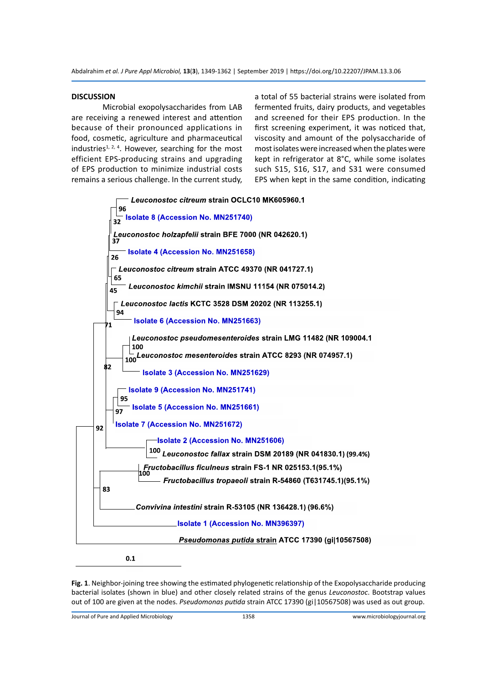#### **DISCUSSION**

Microbial exopolysaccharides from LAB are receiving a renewed interest and attention because of their pronounced applications in food, cosmetic, agriculture and pharmaceutical industries<sup>1, 2, 4</sup>. However, searching for the most efficient EPS-producing strains and upgrading of EPS production to minimize industrial costs remains a serious challenge. In the current study, a total of 55 bacterial strains were isolated from fermented fruits, dairy products, and vegetables and screened for their EPS production. In the first screening experiment, it was noticed that, viscosity and amount of the polysaccharide of most isolates were increased when the plates were kept in refrigerator at 8°C, while some isolates such S15, S16, S17, and S31 were consumed EPS when kept in the same condition, indicating



 $0.1$ 

**Fig. 1**. Neighbor-joining tree showing the estimated phylogenetic relationship of the Exopolysaccharide producing bacterial isolates (shown in blue) and other closely related strains of the genus *Leuconostoc*. Bootstrap values out of 100 are given at the nodes. *Pseudomonas putida* strain ATCC 17390 (gi|10567508) was used as out group.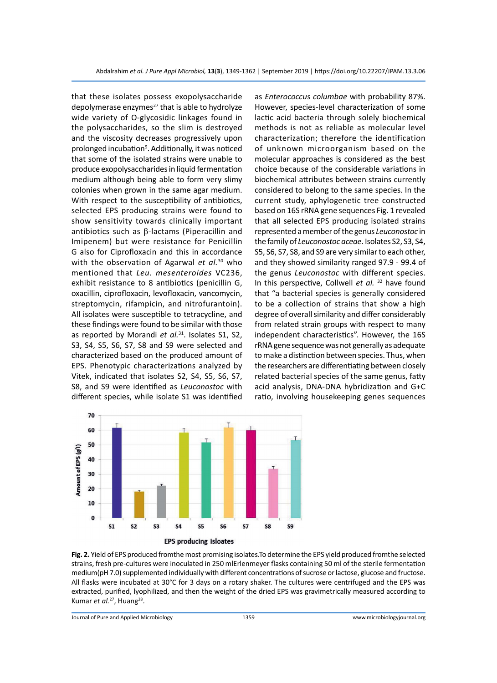that these isolates possess exopolysaccharide depolymerase enzymes<sup>27</sup> that is able to hydrolyze wide variety of O-glycosidic linkages found in the polysaccharides, so the slim is destroyed and the viscosity decreases progressively upon prolonged incubation<sup>9</sup>. Additionally, it was noticed that some of the isolated strains were unable to produce exopolysaccharides in liquid fermentation medium although being able to form very slimy colonies when grown in the same agar medium. With respect to the susceptibility of antibiotics, selected EPS producing strains were found to show sensitivity towards clinically important antibiotics such as β-lactams (Piperacillin and Imipenem) but were resistance for Penicillin G also for Ciprofloxacin and this in accordance with the observation of Agarwal *et al.*30 who mentioned that *Leu. mesenteroides* VC236, exhibit resistance to 8 antibiotics (penicillin G, oxacillin, ciprofloxacin, levofloxacin, vancomycin, streptomycin, rifampicin, and nitrofurantoin). All isolates were susceptible to tetracycline, and these findings were found to be similar with those as reported by Morandi *et al.*31. Isolates S1, S2, S3, S4, S5, S6, S7, S8 and S9 were selected and characterized based on the produced amount of EPS. Phenotypic characterizations analyzed by Vitek, indicated that isolates S2, S4, S5, S6, S7, S8, and S9 were identified as *Leuconostoc* with different species, while isolate S1 was identified

as *Enterococcus columbae* with probability 87%. However, species-level characterization of some lactic acid bacteria through solely biochemical methods is not as reliable as molecular level characterization; therefore the identification of unknown microorganism based on the molecular approaches is considered as the best choice because of the considerable variations in biochemical attributes between strains currently considered to belong to the same species. In the current study, aphylogenetic tree constructed based on 16S rRNA gene sequences Fig. 1 revealed that all selected EPS producing isolated strains represented a member of the genus *Leuconostoc* in the family of *Leuconostoc aceae*. Isolates S2, S3, S4, S5, S6, S7, S8, and S9 are very similar to each other, and they showed similarity ranged 97.9 - 99.4 of the genus *Leuconostoc* with different species. In this perspective, Collwell *et al.* <sup>32</sup> have found that "a bacterial species is generally considered to be a collection of strains that show a high degree of overall similarity and differ considerably from related strain groups with respect to many independent characteristics". However, the 16S rRNA gene sequence was not generally as adequate to make a distinction between species. Thus, when the researchers are differentiating between closely related bacterial species of the same genus, fatty acid analysis, DNA-DNA hybridization and G+C ratio, involving housekeeping genes sequences



**Fig. 2.** Yield of EPS produced fromthe most promising isolates.To determine the EPS yield produced fromthe selected strains, fresh pre-cultures were inoculated in 250 mlErlenmeyer flasks containing 50 ml of the sterile fermentation medium(pH 7.0) supplemented individually with different concentrations of sucrose or lactose, glucose and fructose. All flasks were incubated at 30°C for 3 days on a rotary shaker. The cultures were centrifuged and the EPS was extracted, purified, lyophilized, and then the weight of the dried EPS was gravimetrically measured according to Kumar *et al.*<sup>27</sup>, Huang<sup>28</sup>.

Journal of Pure and Applied Microbiology 1359 www.microbiologyjournal.org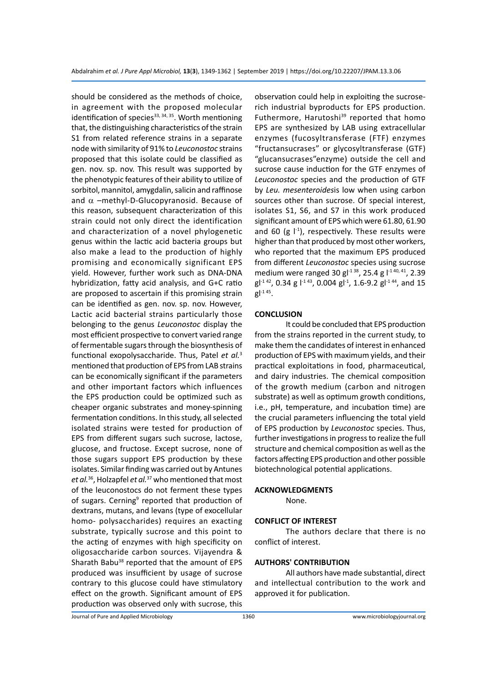should be considered as the methods of choice, in agreement with the proposed molecular identification of species $33, 34, 35$ . Worth mentioning that, the distinguishing characteristics of the strain S1 from related reference strains in a separate node with similarity of 91% to *Leuconostoc* strains proposed that this isolate could be classified as gen. nov. sp. nov. This result was supported by the phenotypic features of their ability to utilize of sorbitol, mannitol, amygdalin, salicin and raffinose and  $\alpha$  –methyl-D-Glucopyranosid. Because of this reason, subsequent characterization of this strain could not only direct the identification and characterization of a novel phylogenetic genus within the lactic acid bacteria groups but also make a lead to the production of highly promising and economically significant EPS yield. However, further work such as DNA-DNA hybridization, fatty acid analysis, and G+C ratio are proposed to ascertain if this promising strain can be identified as gen. nov. sp. nov. However, Lactic acid bacterial strains particularly those belonging to the genus *Leuconostoc* display the most efficient prospective to convert varied range of fermentable sugars through the biosynthesis of functional exopolysaccharide. Thus, Patel *et al.*<sup>3</sup> mentioned that production of EPS from LAB strains can be economically significant if the parameters and other important factors which influences the EPS production could be optimized such as cheaper organic substrates and money-spinning fermentation conditions. In this study, all selected isolated strains were tested for production of EPS from different sugars such sucrose, lactose, glucose, and fructose. Except sucrose, none of those sugars support EPS production by these isolates. Similar finding was carried out by Antunes *et al.*36, Holzapfel *et al.*37 who mentioned that most of the leuconostocs do not ferment these types of sugars. Cerning<sup>9</sup> reported that production of dextrans, mutans, and levans (type of exocellular homo- polysaccharides) requires an exacting substrate, typically sucrose and this point to the acting of enzymes with high specificity on oligosaccharide carbon sources. Vijayendra & Sharath Babu<sup>38</sup> reported that the amount of EPS produced was insufficient by usage of sucrose contrary to this glucose could have stimulatory effect on the growth. Significant amount of EPS production was observed only with sucrose, this

observation could help in exploiting the sucroserich industrial byproducts for EPS production. Futhermore, Harutoshi<sup>39</sup> reported that homo EPS are synthesized by LAB using extracellular enzymes (fucosyltransferase (FTF) enzymes "fructansucrases" or glycosyltransferase (GTF) "glucansucrases"enzyme) outside the cell and sucrose cause induction for the GTF enzymes of *Leuconostoc* species and the production of GTF by *Leu. mesenteroides*is low when using carbon sources other than sucrose. Of special interest, isolates S1, S6, and S7 in this work produced significant amount of EPS which were 61.80, 61.90 and 60 (g  $\vert$ <sup>-1</sup>), respectively. These results were higher than that produced by most other workers, who reported that the maximum EPS produced from different *Leuconostoc* species using sucrose medium were ranged 30 gl<sup>-1 38</sup>, 25.4 g l<sup>-1 40, 41</sup>, 2.39  $gl<sup>-142</sup>$ , 0.34 g  $l<sup>-143</sup>$ , 0.004 gl<sup>-1</sup>, 1.6-9.2 gl<sup>-144</sup>, and 15  $gI^{-1}$ <sup>45</sup>.

#### **CONCLUSION**

It could be concluded that EPS production from the strains reported in the current study, to make them the candidates of interest in enhanced production of EPS with maximum yields, and their practical exploitations in food, pharmaceutical, and dairy industries. The chemical composition of the growth medium (carbon and nitrogen substrate) as well as optimum growth conditions, i.e., pH, temperature, and incubation time) are the crucial parameters influencing the total yield of EPS production by *Leuconostoc* species. Thus, further investigations in progress to realize the full structure and chemical composition as well as the factors affecting EPS production and other possible biotechnological potential applications.

#### **ACKNOWLEDGMENTS**

None.

### **CONFLICT OF INTEREST**

The authors declare that there is no conflict of interest.

### **AUTHORS' CONTRIBUTION**

All authors have made substantial, direct and intellectual contribution to the work and approved it for publication.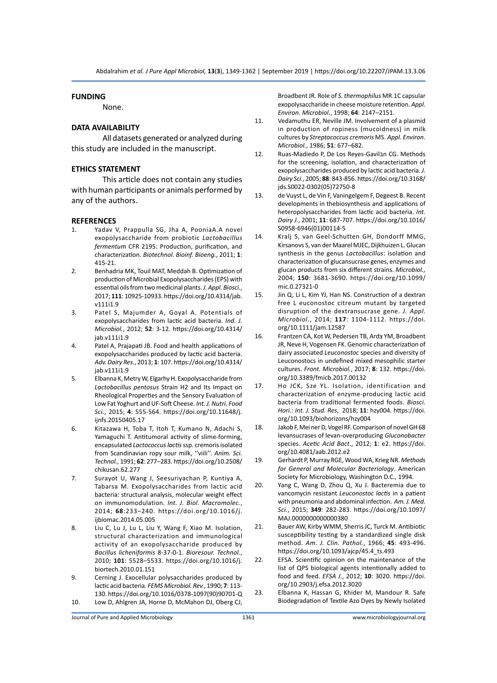### **FUNDING**

None.

### **DATA AVAILABILITY**

All datasets generated or analyzed during this study are included in the manuscript.

#### **ETHICS STATEMENT**

This article does not contain any studies with human participants or animals performed by any of the authors.

#### **REFERENCES**

- 1. Yadav V, Prappulla SG, Jha A, PooniaA.A novel exopolysaccharide from probiotic *Lactobacillus fermentum* CFR 2195: Production, purification, and characterization. *Biotechnol. Bioinf. Bioeng.*, 2011; **1**: 415-21.
- 2. Benhadria MK, Touil MAT, Meddah B. Optimization of production of Microbial Exopolysaccharides (EPS) with essential oils from two medicinal plants.*J. Appl. Biosci.*, 2017; **111**: 10925-10933. https://doi.org/10.4314/jab. v111i1.9
- 3. Patel S, Majumder A, Goyal A. Potentials of exopolysaccharides from lactic acid bacteria. *Ind. J. Microbiol.*, 2012; **52**: 3-12. https://doi.org/10.4314/ jab.v111i1.9
- 4. Patel A, Prajapati JB. Food and health applications of exopolysaccharides produced by lactic acid bacteria. *Adv. Dairy Res.*, 2013; **1**: 107. https://doi.org/10.4314/ jab.v111i1.9
- 5. Elbanna K, Metry W, Elgarhy H. Exopolysaccharide from *Lactobacillus pentosus* Strain H2 and Its Impact on Rheological Properties and the Sensory Evaluation of Low Fat Yoghurt and UF-Soft Cheese. *Int. J. Nutri. Food Sci.*, 2015; **4**: 555-564. https://doi.org/10.11648/j. iinfs.20150405.17
- 6. Kitazawa H, Toba T, Itoh T, Kumano N, Adachi S, Yamaguchi T. Antitumoral activity of slime-forming, encapsulated *Lactococcus lactis* ssp. cremoris isolated from Scandinavian ropy sour milk, ''viili''. *Anim. Sci. Technol.*, 1991; **62**: 277–283. https://doi.org/10.2508/ chikusan.62.277
- 7. Surayot U, Wang J, Seesuriyachan P, Kuntiya A, Tabarsa M. Exopolysaccharides from lactic acid bacteria: structural analysis, molecular weight effect on immunomodulation. *Int. J. Biol. Macromolec.*, 2014; **68**:233–240. https://doi.org/10.1016/j. ijbiomac.2014.05.005
- 8. Liu C, Lu J, Lu L, Liu Y, Wang F, Xiao M. Isolation, structural characterization and immunological activity of an exopolysaccharide produced by *Bacillus licheniformis* 8-37-0-1. *Bioresour. Technol.*, 2010; **101**: 5528–5533. https://doi.org/10.1016/j. biortech.2010.01.151
- 9. Cerning J. Exocellular polysaccharides produced by lactic acid bacteria. *FEMS Microbiol. Rev.*, 1990; **7**: 113- 130. https://doi.org/10.1016/0378-1097(90)90701-Q 10. Low D, Ahlgren JA, Horne D, McMahon DJ, Oberg CJ,

Broadbent JR. Role of *S. thermophilus* MR.1C capsular exopolysaccharide in cheese moisture retention. *Appl. Environ. Microbiol.*, 1998; **64**: 2147–2151.

- 11. Vedamuthu ER, Neville JM. Involvement of a plasmid in production of ropiness (mucoidness) in milk cultures by *Streptococcus cremoris* MS. *Appl. Environ. Microbiol.*, 1986; **51**: 677–682.
- 12. Ruas-Madiedo P, De Los Reyes-Gavilבn CG. Methods for the screening, isolation, and characterization of exopolysaccharides produced by lactic acid bacteria.*J. Dairy Sci.*, 2005; **88**: 843-856. https://doi.org/10.3168/ jds.S0022-0302(05)72750-8
- 13. de Vuyst L, de Vin F, Vaningelgem F, Degeest B. Recent developments in thebiosynthesis and applications of heteropolysaccharides from lactic acid bacteria. *Int. Dairy J.*, 2001; **11**: 687-707. https://doi.org/10.1016/ S0958-6946(01)00114-5
- 14. Kralj S, van Geel-Schutten GH, Dondorff MMG, Kirsanovs S, van der Maarel MJEC, Dijkhuizen L. Glucan synthesis in the genus *Lactobacillus*: isolation and characterization of glucansucrase genes, enzymes and glucan products from six different strains. *Microbiol.,*  2004; **150**: 3681-3690. https://doi.org/10.1099/ mic.0.27321-0
- 15. Jin Q, Li L, Kim YJ, Han NS. Construction of a dextran free L euconostoc citreum mutant by targeted disruption of the dextransucrase gene. *J. Appl. Microbiol.*, 2014; **117**: 1104-1112. https://doi. org/10.1111/jam.12587
- 16. Frantzen CA, Kot W, Pedersen TB, Ardצ YM, Broadbent JR, Neve H, Vogensen FK. Genomic characterization of dairy associated *Leuconostoc* species and diversity of Leuconostocs in undefined mixed mesophilic starter cultures. *Front. Microbiol.*, 2017; **8**: 132. https://doi. org/10.3389/fmicb.2017.00132
- 17. Ho JCK, Sze YL. Isolation, identification and characterization of enzyme-producing lactic acid bacteria from traditional fermented foods. *Biosci. Hori.: Int. J. Stud. Res*, 2018; **11**: hzy004. https://doi. org/10.1093/biohorizons/hzy004
- 18. Jakob F, Mei ner D, Vogel RF. Comparison of novel GH 68 levansucrases of levan-overproducing *Gluconobacter* species. *Acetic Acid Bact*., 2012; **1**: e2. https://doi. org/10.4081/aab.2012.e2
- 19. Gerhardt P, Murray RGE, Wood WA, Krieg NR. *Methods for General and Molecular Bacteriology*. American Society for Microbiology, Washington D.C., 1994.
- 20. Yang C, Wang D, Zhou Q, Xu J. Bacteremia due to vancomycin resistant *Leuconostoc lactis* in a patient with pneumonia and abdominal infection. *Am. J. Med. Sci.*, 2015; **349**: 282-283. https://doi.org/10.1097/ MAJ.0000000000000380
- 21. Bauer AW, Kirby WMM, Sherris JC, Turck M. Antibiotic susceptibility testing by a standardized single disk method. *Am. J. Clin. Pathol.*, 1966; **45**: 493-496. https://doi.org/10.1093/ajcp/45.4\_ts.493
- 22. EFSA. Scientific opinion on the maintenance of the list of QPS biological agents intentionally added to food and feed. *EFSA J.*, 2012; **10**: 3020. https://doi. org/10.2903/j.efsa.2012.3020
- 23. Elbanna K, Hassan G, Khider M, Mandour R. Safe Biodegradation of Textile Azo Dyes by Newly Isolated